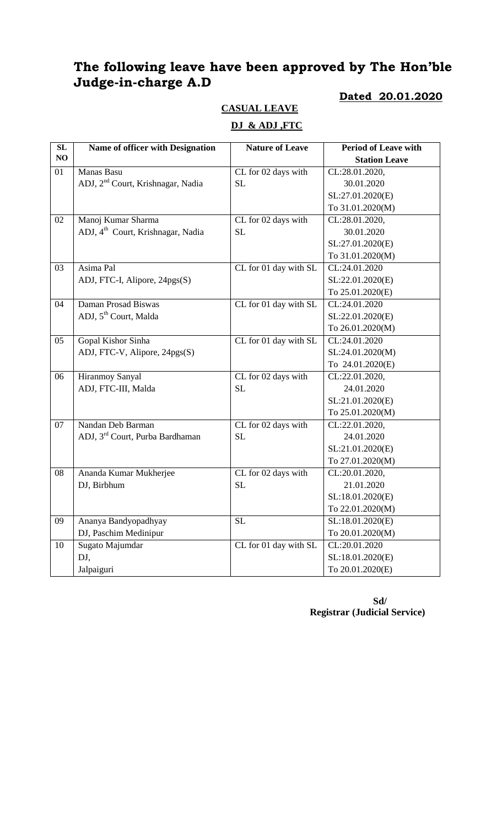# **The following leave have been approved by The Hon'ble Judge-in-charge A.D**

#### **Dated 20.01.2020**

# **CASUAL LEAVE**

### **DJ & ADJ ,FTC**

| SL | Name of officer with Designation              | <b>Nature of Leave</b> | <b>Period of Leave with</b> |
|----|-----------------------------------------------|------------------------|-----------------------------|
| NO |                                               |                        | <b>Station Leave</b>        |
| 01 | Manas Basu                                    | CL for 02 days with    | CL:28.01.2020,              |
|    | ADJ, 2 <sup>nd</sup> Court, Krishnagar, Nadia | <b>SL</b>              | 30.01.2020                  |
|    |                                               |                        | SL:27.01.2020(E)            |
|    |                                               |                        | To 31.01.2020(M)            |
| 02 | Manoj Kumar Sharma                            | CL for 02 days with    | CL:28.01.2020,              |
|    | ADJ, 4 <sup>th</sup> Court, Krishnagar, Nadia | <b>SL</b>              | 30.01.2020                  |
|    |                                               |                        | SL:27.01.2020(E)            |
|    |                                               |                        | To 31.01.2020(M)            |
| 03 | Asima Pal                                     | CL for 01 day with SL  | CL:24.01.2020               |
|    | ADJ, FTC-I, Alipore, 24pgs(S)                 |                        | SL:22.01.2020(E)            |
|    |                                               |                        | To 25.01.2020(E)            |
| 04 | Daman Prosad Biswas                           | CL for 01 day with SL  | CL:24.01.2020               |
|    | ADJ, 5 <sup>th</sup> Court, Malda             |                        | SL:22.01.2020(E)            |
|    |                                               |                        | To 26.01.2020(M)            |
| 05 | Gopal Kishor Sinha                            | CL for 01 day with SL  | CL:24.01.2020               |
|    | ADJ, FTC-V, Alipore, 24pgs(S)                 |                        | SL:24.01.2020(M)            |
|    |                                               |                        | To 24.01.2020(E)            |
| 06 | <b>Hiranmoy Sanyal</b>                        | CL for 02 days with    | CL:22.01.2020,              |
|    | ADJ, FTC-III, Malda                           | <b>SL</b>              | 24.01.2020                  |
|    |                                               |                        | SL:21.01.2020(E)            |
|    |                                               |                        | To 25.01.2020(M)            |
| 07 | Nandan Deb Barman                             | CL for 02 days with    | CL:22.01.2020,              |
|    | ADJ, 3 <sup>rd</sup> Court, Purba Bardhaman   | <b>SL</b>              | 24.01.2020                  |
|    |                                               |                        | SL:21.01.2020(E)            |
|    |                                               |                        | To 27.01.2020(M)            |
| 08 | Ananda Kumar Mukherjee                        | CL for 02 days with    | CL:20.01.2020,              |
|    | DJ, Birbhum                                   | <b>SL</b>              | 21.01.2020                  |
|    |                                               |                        | SL:18.01.2020(E)            |
|    |                                               |                        | To 22.01.2020(M)            |
| 09 | Ananya Bandyopadhyay                          | <b>SL</b>              | SL:18.01.2020(E)            |
|    | DJ, Paschim Medinipur                         |                        | To 20.01.2020(M)            |
| 10 | Sugato Majumdar                               | CL for 01 day with SL  | CL:20.01.2020               |
|    | DJ,                                           |                        | SL:18.01.2020(E)            |
|    | Jalpaiguri                                    |                        | To 20.01.2020(E)            |

 **Sd/ Registrar (Judicial Service)**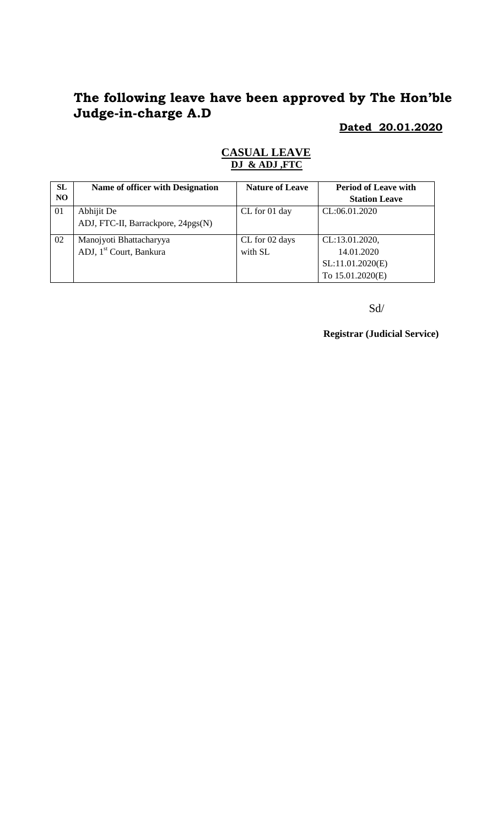# **The following leave have been approved by The Hon'ble Judge-in-charge A.D**

**Dated 20.01.2020**

| SL  | Name of officer with Designation    | <b>Nature of Leave</b> | <b>Period of Leave with</b> |
|-----|-------------------------------------|------------------------|-----------------------------|
| NO. |                                     |                        | <b>Station Leave</b>        |
| 01  | Abhijit De                          | CL for 01 day          | CL:06.01.2020               |
|     | ADJ, FTC-II, Barrackpore, 24pgs(N)  |                        |                             |
| 02  | Manojyoti Bhattacharyya             | CL for 02 days         | CL:13.01.2020,              |
|     | ADJ, 1 <sup>st</sup> Court, Bankura | with SL                | 14.01.2020                  |
|     |                                     |                        | SL:11.01.2020(E)            |
|     |                                     |                        | To 15.01.2020(E)            |

### **CASUAL LEAVE DJ & ADJ ,FTC**

Sd/

**Registrar (Judicial Service)**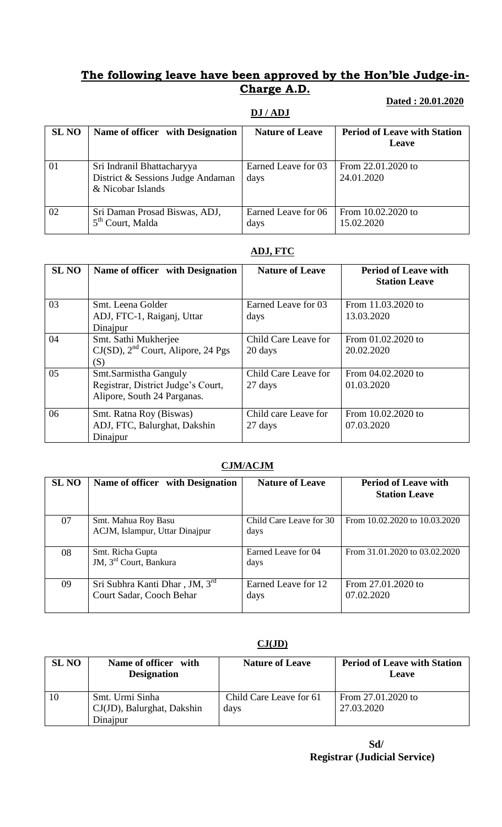## **The following leave have been approved by the Hon'ble Judge-in-Charge A.D.**

#### **DJ / ADJ**

### **Dated : 20.01.2020**

| <b>SL NO</b> | Name of officer with Designation                                                     | <b>Nature of Leave</b>      | <b>Period of Leave with Station</b><br>Leave |
|--------------|--------------------------------------------------------------------------------------|-----------------------------|----------------------------------------------|
| 01           | Sri Indranil Bhattacharyya<br>District & Sessions Judge Andaman<br>& Nicobar Islands | Earned Leave for 03<br>days | From 22.01.2020 to<br>24.01.2020             |
| 02           | Sri Daman Prosad Biswas, ADJ,<br>5 <sup>th</sup> Court, Malda                        | Earned Leave for 06<br>days | From 10.02.2020 to<br>15.02.2020             |

#### **ADJ, FTC**

| <b>SL NO</b> | Name of officer with Designation                                                           | <b>Nature of Leave</b>          | <b>Period of Leave with</b><br><b>Station Leave</b> |
|--------------|--------------------------------------------------------------------------------------------|---------------------------------|-----------------------------------------------------|
| 03           | Smt. Leena Golder<br>ADJ, FTC-1, Raiganj, Uttar<br>Dinajpur                                | Earned Leave for 03<br>days     | From 11.03.2020 to<br>13.03.2020                    |
| 04           | Smt. Sathi Mukherjee<br>$CJ(SD)$ , $2nd$ Court, Alipore, 24 Pgs<br>(S)                     | Child Care Leave for<br>20 days | From 01.02.2020 to<br>20.02.2020                    |
| 05           | Smt.Sarmistha Ganguly<br>Registrar, District Judge's Court,<br>Alipore, South 24 Parganas. | Child Care Leave for<br>27 days | From 04.02.2020 to<br>01.03.2020                    |
| 06           | Smt. Ratna Roy (Biswas)<br>ADJ, FTC, Balurghat, Dakshin<br>Dinajpur                        | Child care Leave for<br>27 days | From 10.02.2020 to<br>07.03.2020                    |

### **CJM/ACJM**

| <b>SL NO</b> | Name of officer with Designation                           | <b>Nature of Leave</b>          | <b>Period of Leave with</b><br><b>Station Leave</b> |
|--------------|------------------------------------------------------------|---------------------------------|-----------------------------------------------------|
| 07           | Smt. Mahua Roy Basu<br>ACJM, Islampur, Uttar Dinajpur      | Child Care Leave for 30<br>days | From 10.02.2020 to 10.03.2020                       |
| 08           | Smt. Richa Gupta<br>JM, 3 <sup>rd</sup> Court, Bankura     | Earned Leave for 04<br>days     | From 31.01.2020 to 03.02.2020                       |
| 09           | Sri Subhra Kanti Dhar, JM, 3rd<br>Court Sadar, Cooch Behar | Earned Leave for 12<br>days     | From 27.01.2020 to<br>07.02.2020                    |

### **CJ(JD)**

| <b>SL NO</b> | Name of officer with<br><b>Designation</b>                | <b>Nature of Leave</b>          | <b>Period of Leave with Station</b><br>Leave |
|--------------|-----------------------------------------------------------|---------------------------------|----------------------------------------------|
| 10           | Smt. Urmi Sinha<br>CJ(JD), Balurghat, Dakshin<br>Dinajpur | Child Care Leave for 61<br>days | From 27.01.2020 to<br>27.03.2020             |